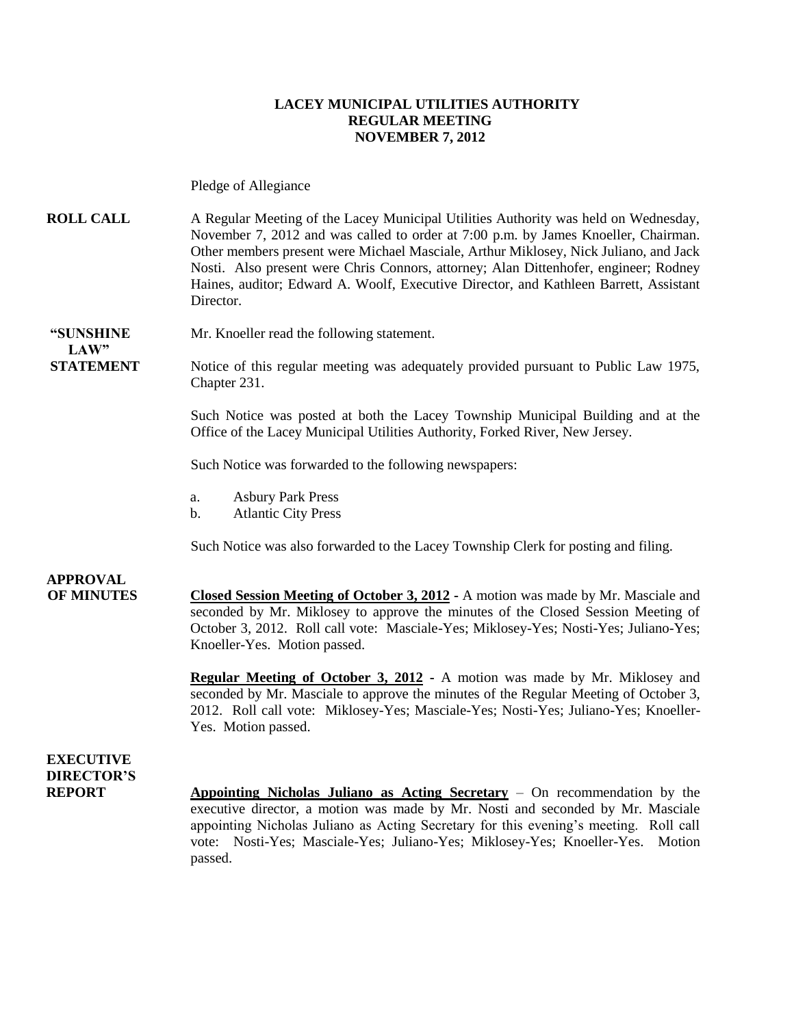#### **LACEY MUNICIPAL UTILITIES AUTHORITY REGULAR MEETING NOVEMBER 7, 2012**

Pledge of Allegiance

**ROLL CALL** A Regular Meeting of the Lacey Municipal Utilities Authority was held on Wednesday, November 7, 2012 and was called to order at 7:00 p.m. by James Knoeller, Chairman. Other members present were Michael Masciale, Arthur Miklosey, Nick Juliano, and Jack Nosti. Also present were Chris Connors, attorney; Alan Dittenhofer, engineer; Rodney Haines, auditor; Edward A. Woolf, Executive Director, and Kathleen Barrett, Assistant Director.

**"SUNSHINE** Mr. Knoeller read the following statement.  $LAW"$ 

**STATEMENT** Notice of this regular meeting was adequately provided pursuant to Public Law 1975, Chapter 231.

> Such Notice was posted at both the Lacey Township Municipal Building and at the Office of the Lacey Municipal Utilities Authority, Forked River, New Jersey.

Such Notice was forwarded to the following newspapers:

- a. Asbury Park Press
- b. Atlantic City Press

Such Notice was also forwarded to the Lacey Township Clerk for posting and filing.

## **APPROVAL**

**OF MINUTES Closed Session Meeting of October 3, 2012 -** A motion was made by Mr. Masciale and seconded by Mr. Miklosey to approve the minutes of the Closed Session Meeting of October 3, 2012. Roll call vote: Masciale-Yes; Miklosey-Yes; Nosti-Yes; Juliano-Yes; Knoeller-Yes. Motion passed.

> **Regular Meeting of October 3, 2012 -** A motion was made by Mr. Miklosey and seconded by Mr. Masciale to approve the minutes of the Regular Meeting of October 3, 2012. Roll call vote: Miklosey-Yes; Masciale-Yes; Nosti-Yes; Juliano-Yes; Knoeller-Yes. Motion passed.

**EXECUTIVE DIRECTOR'S**

**REPORT Appointing Nicholas Juliano as Acting Secretary** – On recommendation by the executive director, a motion was made by Mr. Nosti and seconded by Mr. Masciale appointing Nicholas Juliano as Acting Secretary for this evening's meeting. Roll call vote: Nosti-Yes; Masciale-Yes; Juliano-Yes; Miklosey-Yes; Knoeller-Yes. Motion passed.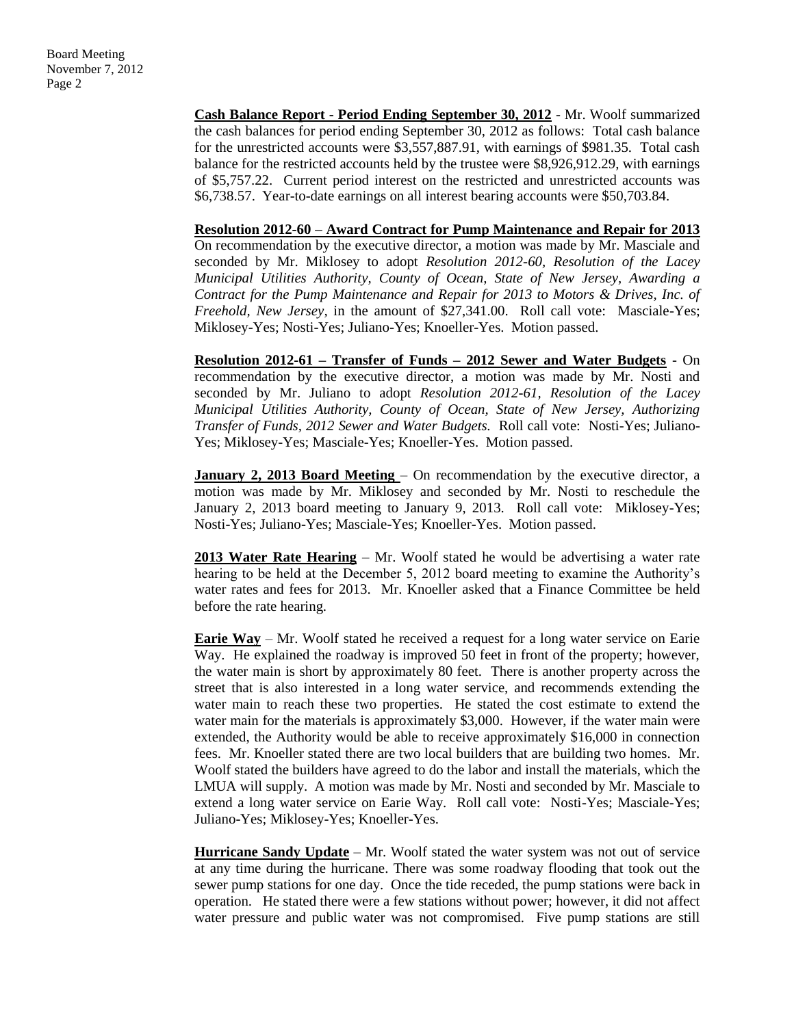**Cash Balance Report - Period Ending September 30, 2012** - Mr. Woolf summarized the cash balances for period ending September 30, 2012 as follows: Total cash balance for the unrestricted accounts were \$3,557,887.91, with earnings of \$981.35. Total cash balance for the restricted accounts held by the trustee were \$8,926,912.29, with earnings of \$5,757.22. Current period interest on the restricted and unrestricted accounts was \$6,738.57. Year-to-date earnings on all interest bearing accounts were \$50,703.84.

**Resolution 2012-60 – Award Contract for Pump Maintenance and Repair for 2013** On recommendation by the executive director, a motion was made by Mr. Masciale and seconded by Mr. Miklosey to adopt *Resolution 2012-60, Resolution of the Lacey Municipal Utilities Authority, County of Ocean, State of New Jersey, Awarding a Contract for the Pump Maintenance and Repair for 2013 to Motors & Drives, Inc. of Freehold, New Jersey,* in the amount of \$27,341.00. Roll call vote: Masciale-Yes; Miklosey-Yes; Nosti-Yes; Juliano-Yes; Knoeller-Yes. Motion passed.

**Resolution 2012-61 – Transfer of Funds – 2012 Sewer and Water Budgets** - On recommendation by the executive director, a motion was made by Mr. Nosti and seconded by Mr. Juliano to adopt *Resolution 2012-61, Resolution of the Lacey Municipal Utilities Authority, County of Ocean, State of New Jersey, Authorizing Transfer of Funds, 2012 Sewer and Water Budgets.* Roll call vote: Nosti-Yes; Juliano-Yes; Miklosey-Yes; Masciale-Yes; Knoeller-Yes. Motion passed.

**January 2, 2013 Board Meeting – On recommendation by the executive director, a** motion was made by Mr. Miklosey and seconded by Mr. Nosti to reschedule the January 2, 2013 board meeting to January 9, 2013. Roll call vote: Miklosey-Yes; Nosti-Yes; Juliano-Yes; Masciale-Yes; Knoeller-Yes. Motion passed.

**2013 Water Rate Hearing** – Mr. Woolf stated he would be advertising a water rate hearing to be held at the December 5, 2012 board meeting to examine the Authority's water rates and fees for 2013. Mr. Knoeller asked that a Finance Committee be held before the rate hearing.

**Earie Way** – Mr. Woolf stated he received a request for a long water service on Earie Way. He explained the roadway is improved 50 feet in front of the property; however, the water main is short by approximately 80 feet. There is another property across the street that is also interested in a long water service, and recommends extending the water main to reach these two properties. He stated the cost estimate to extend the water main for the materials is approximately \$3,000. However, if the water main were extended, the Authority would be able to receive approximately \$16,000 in connection fees. Mr. Knoeller stated there are two local builders that are building two homes. Mr. Woolf stated the builders have agreed to do the labor and install the materials, which the LMUA will supply. A motion was made by Mr. Nosti and seconded by Mr. Masciale to extend a long water service on Earie Way. Roll call vote: Nosti-Yes; Masciale-Yes; Juliano-Yes; Miklosey-Yes; Knoeller-Yes.

**Hurricane Sandy Update** – Mr. Woolf stated the water system was not out of service at any time during the hurricane. There was some roadway flooding that took out the sewer pump stations for one day. Once the tide receded, the pump stations were back in operation. He stated there were a few stations without power; however, it did not affect water pressure and public water was not compromised. Five pump stations are still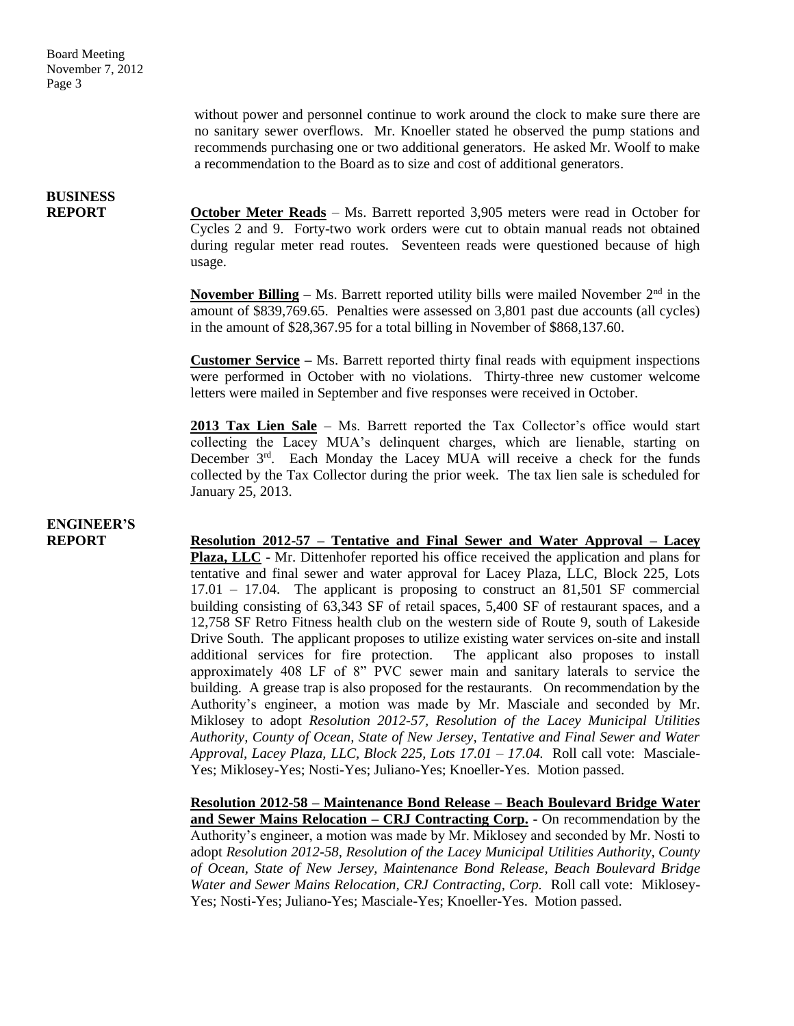without power and personnel continue to work around the clock to make sure there are no sanitary sewer overflows. Mr. Knoeller stated he observed the pump stations and recommends purchasing one or two additional generators. He asked Mr. Woolf to make a recommendation to the Board as to size and cost of additional generators.

## **BUSINESS**

**REPORT October Meter Reads** – Ms. Barrett reported 3,905 meters were read in October for Cycles 2 and 9. Forty-two work orders were cut to obtain manual reads not obtained during regular meter read routes. Seventeen reads were questioned because of high usage.

> **November Billing** – Ms. Barrett reported utility bills were mailed November  $2<sup>nd</sup>$  in the amount of \$839,769.65. Penalties were assessed on 3,801 past due accounts (all cycles) in the amount of \$28,367.95 for a total billing in November of \$868,137.60.

> **Customer Service –** Ms. Barrett reported thirty final reads with equipment inspections were performed in October with no violations. Thirty-three new customer welcome letters were mailed in September and five responses were received in October.

> **2013 Tax Lien Sale** – Ms. Barrett reported the Tax Collector's office would start collecting the Lacey MUA's delinquent charges, which are lienable, starting on December 3<sup>rd</sup>. Each Monday the Lacey MUA will receive a check for the funds collected by the Tax Collector during the prior week. The tax lien sale is scheduled for January 25, 2013.

## **ENGINEER'S**

**REPORT Resolution 2012-57 – Tentative and Final Sewer and Water Approval – Lacey Plaza, LLC** - Mr. Dittenhofer reported his office received the application and plans for tentative and final sewer and water approval for Lacey Plaza, LLC, Block 225, Lots 17.01 – 17.04. The applicant is proposing to construct an 81,501 SF commercial building consisting of 63,343 SF of retail spaces, 5,400 SF of restaurant spaces, and a 12,758 SF Retro Fitness health club on the western side of Route 9, south of Lakeside Drive South. The applicant proposes to utilize existing water services on-site and install additional services for fire protection. The applicant also proposes to install approximately 408 LF of 8" PVC sewer main and sanitary laterals to service the building. A grease trap is also proposed for the restaurants. On recommendation by the Authority's engineer, a motion was made by Mr. Masciale and seconded by Mr. Miklosey to adopt *Resolution 2012-57, Resolution of the Lacey Municipal Utilities Authority, County of Ocean, State of New Jersey, Tentative and Final Sewer and Water Approval, Lacey Plaza, LLC, Block 225, Lots 17.01 – 17.04.* Roll call vote: Masciale-Yes; Miklosey-Yes; Nosti-Yes; Juliano-Yes; Knoeller-Yes. Motion passed.

> **Resolution 2012-58 – Maintenance Bond Release – Beach Boulevard Bridge Water and Sewer Mains Relocation – CRJ Contracting Corp.** - On recommendation by the Authority's engineer, a motion was made by Mr. Miklosey and seconded by Mr. Nosti to adopt *Resolution 2012-58, Resolution of the Lacey Municipal Utilities Authority, County of Ocean, State of New Jersey, Maintenance Bond Release, Beach Boulevard Bridge Water and Sewer Mains Relocation, CRJ Contracting, Corp.* Roll call vote: Miklosey-Yes; Nosti-Yes; Juliano-Yes; Masciale-Yes; Knoeller-Yes. Motion passed.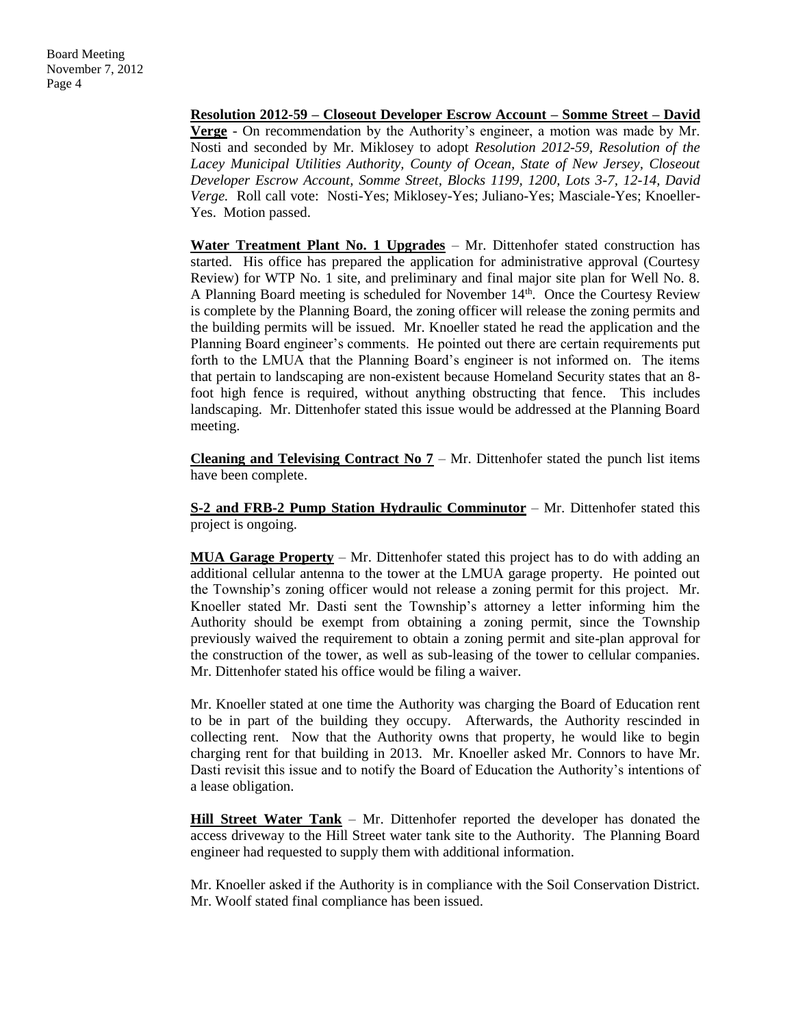**Resolution 2012-59 – Closeout Developer Escrow Account – Somme Street – David Verge** - On recommendation by the Authority's engineer, a motion was made by Mr. Nosti and seconded by Mr. Miklosey to adopt *Resolution 2012-59, Resolution of the Lacey Municipal Utilities Authority, County of Ocean, State of New Jersey, Closeout Developer Escrow Account, Somme Street, Blocks 1199, 1200, Lots 3-7, 12-14, David Verge.* Roll call vote: Nosti-Yes; Miklosey-Yes; Juliano-Yes; Masciale-Yes; Knoeller-Yes. Motion passed.

Water Treatment Plant No. 1 Upgrades – Mr. Dittenhofer stated construction has started. His office has prepared the application for administrative approval (Courtesy Review) for WTP No. 1 site, and preliminary and final major site plan for Well No. 8. A Planning Board meeting is scheduled for November 14<sup>th</sup>. Once the Courtesy Review is complete by the Planning Board, the zoning officer will release the zoning permits and the building permits will be issued. Mr. Knoeller stated he read the application and the Planning Board engineer's comments. He pointed out there are certain requirements put forth to the LMUA that the Planning Board's engineer is not informed on. The items that pertain to landscaping are non-existent because Homeland Security states that an 8 foot high fence is required, without anything obstructing that fence. This includes landscaping. Mr. Dittenhofer stated this issue would be addressed at the Planning Board meeting.

**Cleaning and Televising Contract No**  $7 - Mr$ **.** Dittenhofer stated the punch list items have been complete.

**S-2 and FRB-2 Pump Station Hydraulic Comminutor** – Mr. Dittenhofer stated this project is ongoing.

**MUA Garage Property** – Mr. Dittenhofer stated this project has to do with adding an additional cellular antenna to the tower at the LMUA garage property. He pointed out the Township's zoning officer would not release a zoning permit for this project. Mr. Knoeller stated Mr. Dasti sent the Township's attorney a letter informing him the Authority should be exempt from obtaining a zoning permit, since the Township previously waived the requirement to obtain a zoning permit and site-plan approval for the construction of the tower, as well as sub-leasing of the tower to cellular companies. Mr. Dittenhofer stated his office would be filing a waiver.

Mr. Knoeller stated at one time the Authority was charging the Board of Education rent to be in part of the building they occupy. Afterwards, the Authority rescinded in collecting rent. Now that the Authority owns that property, he would like to begin charging rent for that building in 2013. Mr. Knoeller asked Mr. Connors to have Mr. Dasti revisit this issue and to notify the Board of Education the Authority's intentions of a lease obligation.

**Hill Street Water Tank** – Mr. Dittenhofer reported the developer has donated the access driveway to the Hill Street water tank site to the Authority. The Planning Board engineer had requested to supply them with additional information.

Mr. Knoeller asked if the Authority is in compliance with the Soil Conservation District. Mr. Woolf stated final compliance has been issued.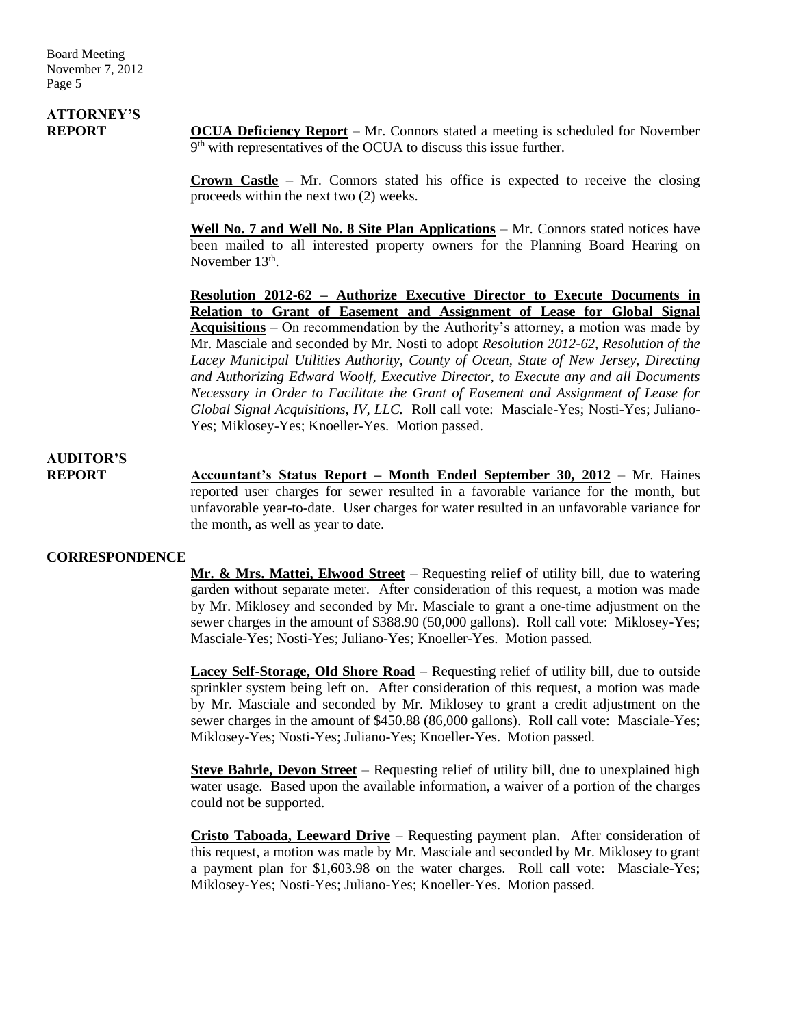# **ATTORNEY'S**

**REPORT OCUA Deficiency Report** – Mr. Connors stated a meeting is scheduled for November 9<sup>th</sup> with representatives of the OCUA to discuss this issue further.

> **Crown Castle** – Mr. Connors stated his office is expected to receive the closing proceeds within the next two (2) weeks.

> **Well No. 7 and Well No. 8 Site Plan Applications** – Mr. Connors stated notices have been mailed to all interested property owners for the Planning Board Hearing on November 13<sup>th</sup>.

> **Resolution 2012-62 – Authorize Executive Director to Execute Documents in Relation to Grant of Easement and Assignment of Lease for Global Signal Acquisitions** – On recommendation by the Authority's attorney, a motion was made by Mr. Masciale and seconded by Mr. Nosti to adopt *Resolution 2012-62, Resolution of the Lacey Municipal Utilities Authority, County of Ocean, State of New Jersey, Directing and Authorizing Edward Woolf, Executive Director, to Execute any and all Documents Necessary in Order to Facilitate the Grant of Easement and Assignment of Lease for Global Signal Acquisitions, IV, LLC.* Roll call vote: Masciale-Yes; Nosti-Yes; Juliano-Yes; Miklosey-Yes; Knoeller-Yes. Motion passed.

### **AUDITOR'S**

**REPORT Accountant's Status Report – Month Ended September 30, 2012** – Mr. Haines reported user charges for sewer resulted in a favorable variance for the month, but unfavorable year-to-date. User charges for water resulted in an unfavorable variance for the month, as well as year to date.

### **CORRESPONDENCE**

**Mr. & Mrs. Mattei, Elwood Street** – Requesting relief of utility bill, due to watering garden without separate meter. After consideration of this request, a motion was made by Mr. Miklosey and seconded by Mr. Masciale to grant a one-time adjustment on the sewer charges in the amount of \$388.90 (50,000 gallons). Roll call vote: Miklosey-Yes; Masciale-Yes; Nosti-Yes; Juliano-Yes; Knoeller-Yes. Motion passed.

**Lacey Self-Storage, Old Shore Road** – Requesting relief of utility bill, due to outside sprinkler system being left on. After consideration of this request, a motion was made by Mr. Masciale and seconded by Mr. Miklosey to grant a credit adjustment on the sewer charges in the amount of \$450.88 (86,000 gallons). Roll call vote: Masciale-Yes; Miklosey-Yes; Nosti-Yes; Juliano-Yes; Knoeller-Yes. Motion passed.

**Steve Bahrle, Devon Street** – Requesting relief of utility bill, due to unexplained high water usage. Based upon the available information, a waiver of a portion of the charges could not be supported.

**Cristo Taboada, Leeward Drive** – Requesting payment plan. After consideration of this request, a motion was made by Mr. Masciale and seconded by Mr. Miklosey to grant a payment plan for \$1,603.98 on the water charges. Roll call vote: Masciale-Yes; Miklosey-Yes; Nosti-Yes; Juliano-Yes; Knoeller-Yes. Motion passed.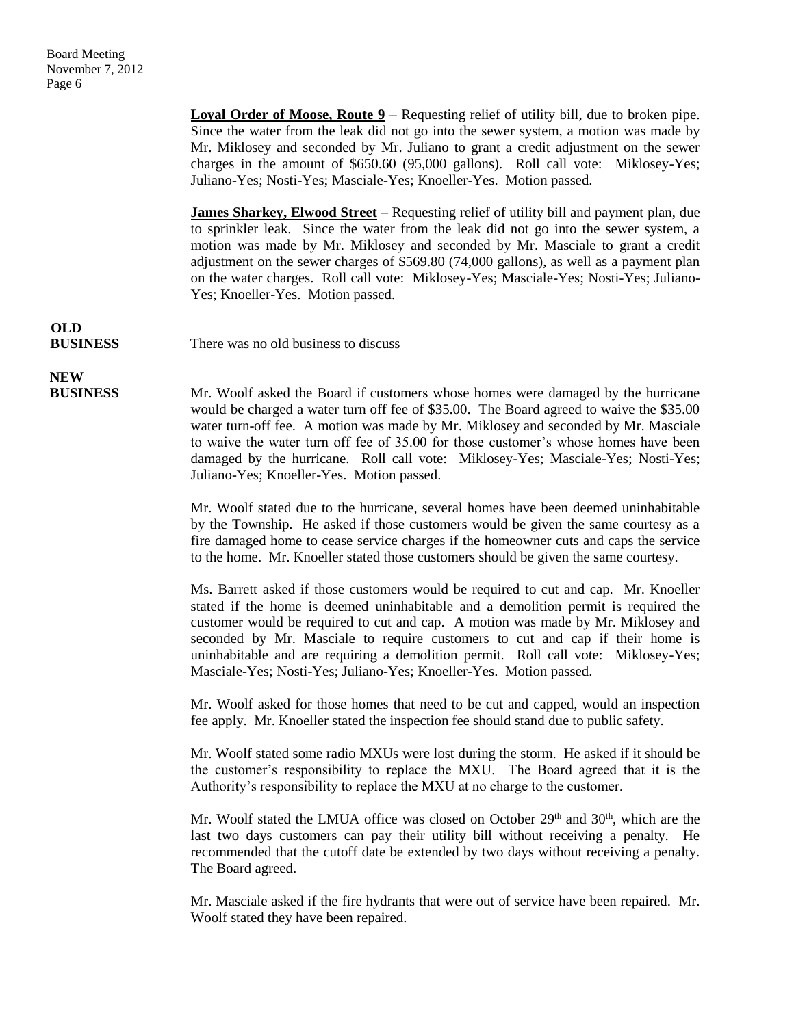**Loyal Order of Moose, Route 9** – Requesting relief of utility bill, due to broken pipe. Since the water from the leak did not go into the sewer system, a motion was made by Mr. Miklosey and seconded by Mr. Juliano to grant a credit adjustment on the sewer charges in the amount of \$650.60 (95,000 gallons). Roll call vote: Miklosey-Yes; Juliano-Yes; Nosti-Yes; Masciale-Yes; Knoeller-Yes. Motion passed.

**James Sharkey, Elwood Street** – Requesting relief of utility bill and payment plan, due to sprinkler leak. Since the water from the leak did not go into the sewer system, a motion was made by Mr. Miklosey and seconded by Mr. Masciale to grant a credit adjustment on the sewer charges of \$569.80 (74,000 gallons), as well as a payment plan on the water charges. Roll call vote: Miklosey-Yes; Masciale-Yes; Nosti-Yes; Juliano-Yes; Knoeller-Yes. Motion passed.

**OLD**

**NEW**

**BUSINESS** There was no old business to discuss

**BUSINESS** Mr. Woolf asked the Board if customers whose homes were damaged by the hurricane would be charged a water turn off fee of \$35.00. The Board agreed to waive the \$35.00 water turn-off fee. A motion was made by Mr. Miklosey and seconded by Mr. Masciale to waive the water turn off fee of 35.00 for those customer's whose homes have been damaged by the hurricane. Roll call vote: Miklosey-Yes; Masciale-Yes; Nosti-Yes; Juliano-Yes; Knoeller-Yes. Motion passed.

> Mr. Woolf stated due to the hurricane, several homes have been deemed uninhabitable by the Township. He asked if those customers would be given the same courtesy as a fire damaged home to cease service charges if the homeowner cuts and caps the service to the home. Mr. Knoeller stated those customers should be given the same courtesy.

> Ms. Barrett asked if those customers would be required to cut and cap. Mr. Knoeller stated if the home is deemed uninhabitable and a demolition permit is required the customer would be required to cut and cap. A motion was made by Mr. Miklosey and seconded by Mr. Masciale to require customers to cut and cap if their home is uninhabitable and are requiring a demolition permit. Roll call vote: Miklosey-Yes; Masciale-Yes; Nosti-Yes; Juliano-Yes; Knoeller-Yes. Motion passed.

> Mr. Woolf asked for those homes that need to be cut and capped, would an inspection fee apply. Mr. Knoeller stated the inspection fee should stand due to public safety.

> Mr. Woolf stated some radio MXUs were lost during the storm. He asked if it should be the customer's responsibility to replace the MXU. The Board agreed that it is the Authority's responsibility to replace the MXU at no charge to the customer.

> Mr. Woolf stated the LMUA office was closed on October  $29<sup>th</sup>$  and  $30<sup>th</sup>$ , which are the last two days customers can pay their utility bill without receiving a penalty. He recommended that the cutoff date be extended by two days without receiving a penalty. The Board agreed.

> Mr. Masciale asked if the fire hydrants that were out of service have been repaired. Mr. Woolf stated they have been repaired.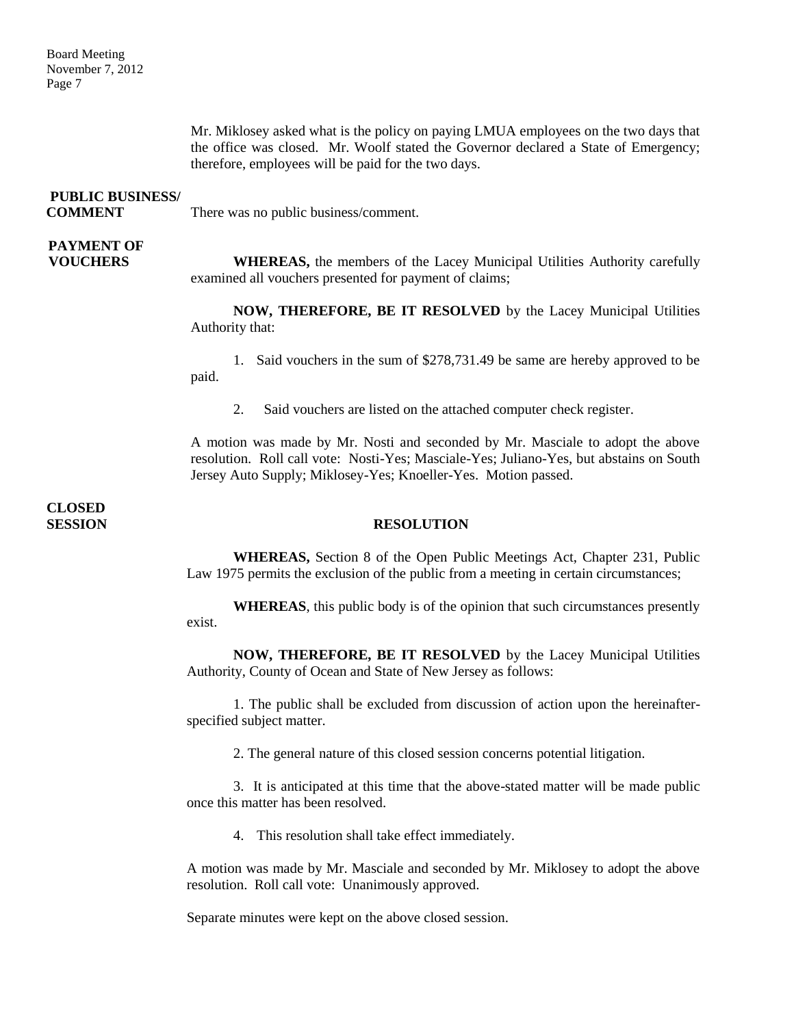Mr. Miklosey asked what is the policy on paying LMUA employees on the two days that the office was closed. Mr. Woolf stated the Governor declared a State of Emergency; therefore, employees will be paid for the two days.

| <b>PUBLIC BUSINESS/</b> |
|-------------------------|
| COMMENT                 |

There was no public business/comment.

## **PAYMENT OF**

**VOUCHERS** WHEREAS, the members of the Lacey Municipal Utilities Authority carefully examined all vouchers presented for payment of claims;

> **NOW, THEREFORE, BE IT RESOLVED** by the Lacey Municipal Utilities Authority that:

> 1. Said vouchers in the sum of \$278,731.49 be same are hereby approved to be paid.

2. Said vouchers are listed on the attached computer check register.

A motion was made by Mr. Nosti and seconded by Mr. Masciale to adopt the above resolution. Roll call vote: Nosti-Yes; Masciale-Yes; Juliano-Yes, but abstains on South Jersey Auto Supply; Miklosey-Yes; Knoeller-Yes. Motion passed.

**CLOSED** 

#### **SESSION RESOLUTION**

**WHEREAS,** Section 8 of the Open Public Meetings Act, Chapter 231, Public Law 1975 permits the exclusion of the public from a meeting in certain circumstances;

**WHEREAS**, this public body is of the opinion that such circumstances presently exist.

**NOW, THEREFORE, BE IT RESOLVED** by the Lacey Municipal Utilities Authority, County of Ocean and State of New Jersey as follows:

1. The public shall be excluded from discussion of action upon the hereinafterspecified subject matter.

2. The general nature of this closed session concerns potential litigation.

3. It is anticipated at this time that the above-stated matter will be made public once this matter has been resolved.

4. This resolution shall take effect immediately.

A motion was made by Mr. Masciale and seconded by Mr. Miklosey to adopt the above resolution. Roll call vote: Unanimously approved.

Separate minutes were kept on the above closed session.